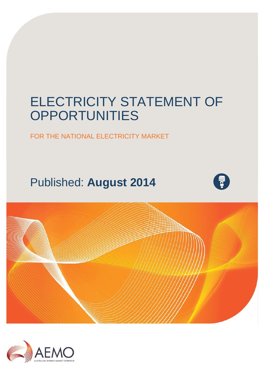# ELECTRICITY STATEMENT OF **OPPORTUNITIES**

FOR THE NATIONAL ELECTRICITY MARKET

# Published: **August 2014**





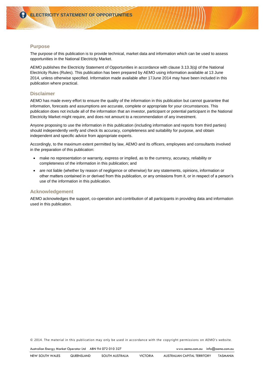#### **Purpose**

The purpose of this publication is to provide technical, market data and information which can be used to assess opportunities in the National Electricity Market.

AEMO publishes the Electricity Statement of Opportunities in accordance with clause 3.13.3(q) of the National Electricity Rules (Rules). This publication has been prepared by AEMO using information available at 13 June 2014, unless otherwise specified. Information made available after 17June 2014 may have been included in this publication where practical.

#### **Disclaimer**

AEMO has made every effort to ensure the quality of the information in this publication but cannot guarantee that information, forecasts and assumptions are accurate, complete or appropriate for your circumstances. This publication does not include all of the information that an investor, participant or potential participant in the National Electricity Market might require, and does not amount to a recommendation of any investment.

Anyone proposing to use the information in this publication (including information and reports from third parties) should independently verify and check its accuracy, completeness and suitability for purpose, and obtain independent and specific advice from appropriate experts.

Accordingly, to the maximum extent permitted by law, AEMO and its officers, employees and consultants involved in the preparation of this publication:

- make no representation or warranty, express or implied, as to the currency, accuracy, reliability or completeness of the information in this publication; and
- are not liable (whether by reason of negligence or otherwise) for any statements, opinions, information or other matters contained in or derived from this publication, or any omissions from it, or in respect of a person's use of the information in this publication.

#### **Acknowledgement**

AEMO acknowledges the support, co-operation and contribution of all participants in providing data and information used in this publication.

© 2014. The material in this publication may only be used in accordance with the copyright permissions on AEMO's website.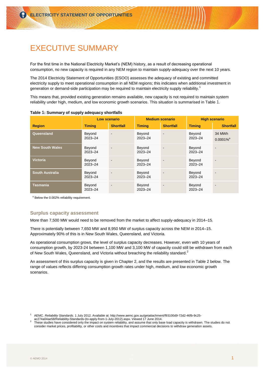## <span id="page-2-1"></span>EXECUTIVE SUMMARY

For the first time in the National Electricity Market's (NEM) history, as a result of decreasing operational consumption, no new capacity is required in any NEM region to maintain supply-adequacy over the next 10 years.

The 2014 Electricity Statement of Opportunities (ESOO) assesses the adequacy of existing and committed electricity supply to meet operational consumption in all NEM regions; this indicates when additional investment in generation or demand-side participation may be required to maintain electricity supply reliability.<sup>1</sup>

This means that, provided existing generation remains available, new capacity is not required to maintain system reliability under high, medium, and low economic growth scenarios. This situation is summarised in [Table](#page-2-0) 1.

|                        | Low scenario          |                          | <b>Medium scenario</b> |                          | <b>High scenario</b> |                                   |
|------------------------|-----------------------|--------------------------|------------------------|--------------------------|----------------------|-----------------------------------|
| <b>Region</b>          | <b>Timing</b>         | <b>Shortfall</b>         | <b>Timing</b>          | <b>Shortfall</b>         | <b>Timing</b>        | <b>Shortfall</b>                  |
| Queensland             | Beyond<br>$2023 - 24$ | $\blacksquare$           | Beyond<br>$2023 - 24$  | $\blacksquare$           | Beyond<br>2023-24    | 34 MWh<br>$0.0001\%$ <sup>a</sup> |
| <b>New South Wales</b> | Beyond<br>$2023 - 24$ | $\overline{\phantom{a}}$ | Beyond<br>$2023 - 24$  |                          | Beyond<br>2023-24    | $\blacksquare$                    |
| <b>Victoria</b>        | Beyond<br>2023-24     | $\blacksquare$           | Beyond<br>$2023 - 24$  |                          | Beyond<br>2023-24    | $\blacksquare$                    |
| <b>South Australia</b> | Beyond<br>2023-24     |                          | Beyond<br>$2023 - 24$  |                          | Beyond<br>2023-24    | $\blacksquare$                    |
| <b>Tasmania</b>        | Beyond<br>2023-24     | $\overline{\phantom{a}}$ | Beyond<br>$2023 - 24$  | $\overline{\phantom{a}}$ | Beyond<br>2023-24    | $\overline{\phantom{a}}$          |

<span id="page-2-0"></span>**Table 1: Summary of supply adequacy shortfalls**

<sup>a</sup> Below the 0.002% reliability requirement.

#### **Surplus capacity assessment**

More than 7,500 MW would need to be removed from the market to affect supply-adequacy in 2014–15.

There is potentially between 7,650 MW and 8,950 MW of surplus capacity across the NEM in 2014–15. Approximately 90% of this is in New South Wales, Queensland, and Victoria.

As operational consumption grows, the level of surplus capacity decreases. However, even with 10 years of consumption growth, by 2023-24 between 1,100 MW and 3,100 MW of capacity could still be withdrawn from each of New South Wales, Queensland, and Victoria without breaching the reliability standard.<sup>2</sup>

An assessment of this surplus capacity is given in Chapter 2, and the results are presented in Table 2 below. The range of values reflects differing consumption growth rates under high, medium, and low economic growth scenarios.

<sup>1</sup> AEMC. *Reliability Standards*. 1 July 2012. Available at: [http://www.aemc.gov.au/getattachment/f93100d9-72d2-46fb-9c25-](http://www.aemc.gov.au/getattachment/f93100d9-72d2-46fb-9c25-ac274a04ae58/Reliability-Standards-(to-apply-from-1-July-2012).aspx)

[ac274a04ae58/Reliability-Standards-\(to-apply-from-1-July-2012\).aspx.](http://www.aemc.gov.au/getattachment/f93100d9-72d2-46fb-9c25-ac274a04ae58/Reliability-Standards-(to-apply-from-1-July-2012).aspx) Viewed 17 June 2014.

<sup>2</sup> These studies have considered only the impact on system reliability, and assume that only base load capacity is withdrawn. The studies do not consider market prices, profitability, or other costs and incentives that impact commercial decisions to withdraw generation assets.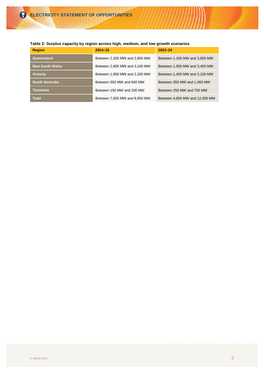| <b>Region</b>          | $2014 - 15$                   | $2023 - 24$                    |
|------------------------|-------------------------------|--------------------------------|
| Queensland             | Between 2,200 MW and 2,850 MW | Between 1,100 MW and 3,650 MW  |
| <b>New South Wales</b> | Between 2,800 MW and 3,100 MW | Between 1,500 MW and 3,450 MW  |
| <b>Victoria</b>        | Between 1,950 MW and 2,200 MW | Between 1,450 MW and 3,100 MW  |
| <b>South Australia</b> | Between 550 MW and 600 MW     | Between 350 MW and 1,050 MW    |
| <b>Tasmania</b>        | Between 150 MW and 200 MW     | Between 250 MW and 750 MW      |
| <b>Total</b>           | Between 7,650 MW and 8,950 MW | Between 4,650 MW and 12,000 MW |

#### <span id="page-3-0"></span>**Table 2: Surplus capacity by region across high, medium, and low growth scenarios**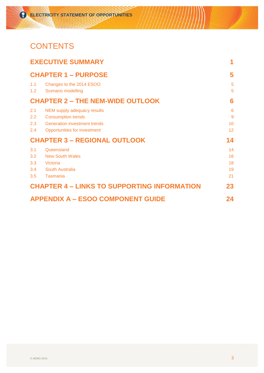## **CONTENTS**

WW

|                                 | <b>EXECUTIVE SUMMARY</b>                                                                                                        |                            |  |
|---------------------------------|---------------------------------------------------------------------------------------------------------------------------------|----------------------------|--|
|                                 | <b>CHAPTER 1 - PURPOSE</b>                                                                                                      | 5                          |  |
| 1.1<br>1.2                      | Changes to the 2014 ESOO<br>Scenario modelling                                                                                  | 5<br>5                     |  |
|                                 | <b>CHAPTER 2 - THE NEM-WIDE OUTLOOK</b>                                                                                         | 6                          |  |
| 2.1<br>2.2<br>2.3<br>2.4        | NEM supply adequacy results<br><b>Consumption trends</b><br><b>Generation investment trends</b><br>Opportunities for investment | 6<br>9<br>10<br>12         |  |
|                                 | <b>CHAPTER 3 - REGIONAL OUTLOOK</b>                                                                                             | 14                         |  |
| 3.1<br>3.2<br>3.3<br>3.4<br>3.5 | Queensland<br><b>New South Wales</b><br>Victoria<br>South Australia<br>Tasmania                                                 | 14<br>16<br>18<br>19<br>21 |  |
|                                 | <b>CHAPTER 4 - LINKS TO SUPPORTING INFORMATION</b>                                                                              | 23                         |  |
|                                 | <b>APPENDIX A - ESOO COMPONENT GUIDE</b>                                                                                        | 24                         |  |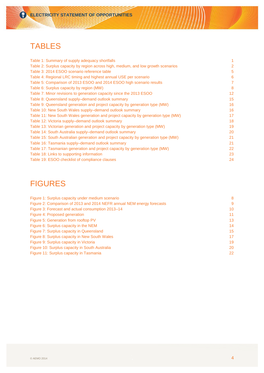## TABLES

WW

| Table 1: Summary of supply adequacy shortfalls                                     | 1              |
|------------------------------------------------------------------------------------|----------------|
| Table 2: Surplus capacity by region across high, medium, and low growth scenarios  | $\overline{2}$ |
| Table 3: 2014 ESOO scenario reference table                                        | 5              |
| Table 4: Regional LRC timing and highest annual USE per scenario                   | 6              |
| Table 5: Comparison of 2013 ESOO and 2014 ESOO high scenario results               | 7              |
| Table 6: Surplus capacity by region (MW)                                           | 8              |
| Table 7: Minor revisions to generation capacity since the 2013 ESOO                | 12             |
| Table 8: Queensland supply-demand outlook summary                                  | 15             |
| Table 9: Queensland generation and project capacity by generation type (MW)        | 16             |
| Table 10: New South Wales supply-demand outlook summary                            | 16             |
| Table 11: New South Wales generation and project capacity by generation type (MW)  | 17             |
| Table 12: Victoria supply-demand outlook summary                                   | 18             |
| Table 13: Victorian generation and project capacity by generation type (MW)        | 19             |
| Table 14: South Australia supply-demand outlook summary                            | 20             |
| Table 15: South Australian generation and project capacity by generation type (MW) | 21             |
| Table 16: Tasmania supply–demand outlook summary                                   | 21             |
| Table 17: Tasmanian generation and project capacity by generation type (MW)        | 22             |
| Table 18: Links to supporting information                                          | 23             |
| Table 19: ESOO checklist of compliance clauses                                     | 24             |

## FIGURES

| Figure 1: Surplus capacity under medium scenario                       | 8  |
|------------------------------------------------------------------------|----|
| Figure 2: Comparison of 2013 and 2014 NEFR annual NEM energy forecasts | 9  |
| Figure 3: Forecast and actual consumption 2013-14                      | 10 |
| Figure 4: Proposed generation                                          | 11 |
| Figure 5: Generation from rooftop PV                                   | 13 |
| Figure 6: Surplus capacity in the NEM                                  | 14 |
| Figure 7: Surplus capacity in Queensland                               | 15 |
| Figure 8: Surplus capacity in New South Wales                          | 17 |
| Figure 9: Surplus capacity in Victoria                                 | 19 |
| Figure 10: Surplus capacity in South Australia                         | 20 |
| Figure 11: Surplus capacity in Tasmania                                | 22 |
|                                                                        |    |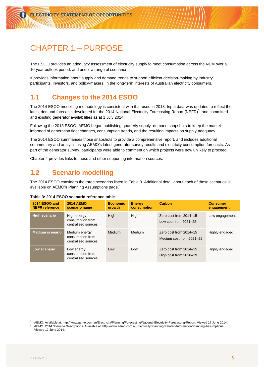## <span id="page-6-0"></span>CHAPTER 1 – PURPOSE

The ESOO provides an adequacy assessment of electricity supply to meet consumption across the NEM over a 10-year outlook period, and under a range of scenarios.

It provides information about supply and demand trends to support efficient decision-making by industry participants, investors, and policy-makers, in the long-term interests of Australian electricity consumers.

### <span id="page-6-1"></span>**1.1 Changes to the 2014 ESOO**

The 2014 ESOO modelling methodology is consistent with that used in 2013. Input data was updated to reflect the latest demand forecasts developed for the 2014 National Electricity Forecasting Report (NEFR)<sup>3</sup>, and committed and existing generator availabilities as at 1 July 2014.

Following the 2013 ESOO, AEMO began publishing quarterly supply–demand snapshots to keep the market informed of generation fleet changes, consumption trends, and the resulting impacts on supply adequacy.

The 2014 ESOO summarises those snapshots to provide a comprehensive report, and includes additional commentary and analysis using AEMO's latest generator survey results and electricity consumption forecasts. As part of the generator survey, participants were able to comment on which projects were now unlikely to proceed.

Chapter 4 provides links to these and other supporting information sources.

### <span id="page-6-2"></span>**1.2 Scenario modelling**

The 2014 ESOO considers the three scenarios listed in [Table 3.](#page-6-3) Additional detail about each of these scenarios is available on AEMO's Planning Assumptions page.<sup>4</sup>

<span id="page-6-3"></span>

| Table 3: 2014 ESOO scenario reference table |  |  |  |
|---------------------------------------------|--|--|--|
|---------------------------------------------|--|--|--|

| <b>2014 ESOO and</b><br><b>NEFR</b> reference | <b>2014 AEMO</b><br>scenario name                        | <b>Economic</b><br>growth | <b>Energy</b><br>consumption | Carbon                                              | <b>Consumer</b><br>engagement |
|-----------------------------------------------|----------------------------------------------------------|---------------------------|------------------------------|-----------------------------------------------------|-------------------------------|
| <b>High scenario</b>                          | High energy<br>consumption from<br>centralised sources   | High                      | High                         | Zero cost from 2014-15<br>Low cost from $2021 - 22$ | Low engagement                |
| <b>Medium scenario</b>                        | Medium energy<br>consumption from<br>centralised sources | Medium                    | Medium                       | Zero cost from 2014-15<br>Medium cost from 2021-22  | Highly engaged                |
| Low scenario                                  | Low energy<br>consumption from<br>centralised sources    | Low                       | Low                          | Zero cost from 2014-15<br>High cost from 2018-19    | Highly engaged                |

<sup>3</sup> AEMO. Available at: http://www.aemo.com.au/Electricity/Planning/Forecasting/National-Electricity-Forecasting-Report. Viewed 17 June 2014. <sup>4</sup> AEMO. *2014 Scenario Descriptions.* Available at: http://www.aemo.com.au/Electricity/Planning/Related-Information/Planning-Assumptions. Viewed 17 June 2014.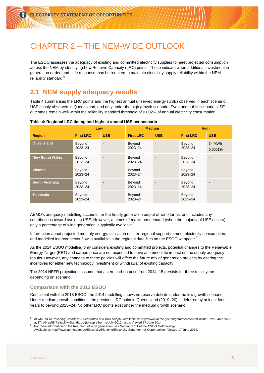## <span id="page-7-0"></span>CHAPTER 2 – THE NEM-WIDE OUTLOOK

The ESOO assesses the adequacy of existing and committed electricity supplies to meet projected consumption across the NEM by identifying Low Reserve Capacity (LRC) points. These indicate when additional investment in generation or demand-side response may be required to maintain electricity supply reliability within the NEM reliability standard.<sup>5</sup>

### <span id="page-7-1"></span>**2.1 NEM supply adequacy results**

[Table 4](#page-7-2) summarises the LRC points and the highest annual unserved energy (USE) observed in each scenario. USE is only observed in Queensland, and only under the high growth scenario. Even under this scenario, USE outcomes remain well within the reliability standard threshold of 0.002% of annual electricity consumption.

|                        | Low                   |            | <b>Medium</b>         |                          | <b>High</b>           |                   |
|------------------------|-----------------------|------------|-----------------------|--------------------------|-----------------------|-------------------|
| <b>Region</b>          | <b>First LRC</b>      | <b>USE</b> | <b>First LRC</b>      | <b>USE</b>               | <b>First LRC</b>      | <b>USE</b>        |
| Queensland             | Beyond<br>$2023 - 24$ |            | Beyond<br>$2023 - 24$ |                          | Beyond<br>$2023 - 24$ | 34 MWh<br>0.0001% |
| <b>New South Wales</b> | Beyond<br>2023-24     |            | Beyond<br>$2023 - 24$ | $\overline{\phantom{0}}$ | Beyond<br>$2023 - 24$ |                   |
| <b>Victoria</b>        | Beyond<br>2023-24     |            | Beyond<br>$2023 - 24$ | $\overline{\phantom{a}}$ | Beyond<br>$2023 - 24$ |                   |
| <b>South Australia</b> | Beyond<br>2023-24     |            | Beyond<br>$2023 - 24$ | $\overline{\phantom{a}}$ | Beyond<br>$2023 - 24$ |                   |
| <b>Tasmania</b>        | Beyond<br>$2023 - 24$ |            | Beyond<br>$2023 - 24$ |                          | Beyond<br>2023-24     |                   |

#### <span id="page-7-2"></span>**Table 4: Regional LRC timing and highest annual USE per scenario**

AEMO's adequacy modelling accounts for the hourly generation output of wind farms, and includes any contributions toward avoiding USE. However, at times of maximum demand (when the majority of USE occurs), only a percentage of wind generation is typically available.<sup>6</sup>

Information about projected monthly energy, utilisation of inter-regional support to meet electricity consumption, and modelled interconnector flow is available in the regional data files on the ESOO webpage.

As the 2014 ESOO modelling only considers existing and committed projects, potential changes to the Renewable Energy Target (RET) and carbon price are not expected to have an immediate impact on the supply adequacy results. However, any changes to these policies will affect the future mix of generation projects by altering the incentives for either new technology investment or withdrawal of existing capacity.

The 2014 NEFR projections assume that a zero carbon price from 2014–15 persists for three to six years, depending on scenario.

#### **Comparison with the 2013 ESOO**

Consistent with the 2013 ESOO, the 2014 modelling shows no reserve deficits under the low growth scenario. Under medium growth conditions, the previous LRC point in Queensland (2019–20) is deferred by at least four years to beyond 2023–24. No other LRC points exist under the medium growth scenario.

<sup>5</sup> AEMC. *NEM Reliability Standard – Generation and Bulk Supply*. Available at: [http://www.aemc.gov.au/getattachment/f93100d9-72d2-46fb-9c25](http://www.aemc.gov.au/getattachment/f93100d9-72d2-46fb-9c25-ac274a04ae58/Reliability-Standards-(to-apply-from-1-July-2012).aspx) [ac274a04ae58/Reliability-Standards-\(to-apply-from-1-July-2012\).aspx.](http://www.aemc.gov.au/getattachment/f93100d9-72d2-46fb-9c25-ac274a04ae58/Reliability-Standards-(to-apply-from-1-July-2012).aspx) Viewed 17 June 2014.

<sup>6</sup> For more information on the treatment of wind generation, see Section 3.1.1 of the *ESOO Methodology*.

<sup>7</sup> Available at: http://www.aemo.com.au/Electricity/Planning/Electricity-Statement-of-Opportunities. Viewed 17 June 2014.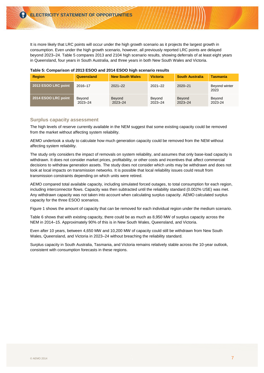It is more likely that LRC points will occur under the high growth scenario as it projects the largest growth in consumption. Even under the high growth scenario, however, all previously reported LRC points are delayed beyond 2023–24. [Table 5](#page-8-0) compares 2013 and 2104 high scenario results, showing deferrals of at least eight years in Queensland, four years in South Australia, and three years in both New South Wales and Victoria.

| <b>Region</b>       | Queensland            | <b>New South Wales</b>       | <b>Victoria</b>       | <b>South Australia</b> | <b>Tasmania</b>       |
|---------------------|-----------------------|------------------------------|-----------------------|------------------------|-----------------------|
| 2013 ESOO LRC point | 2016-17               | $2021 - 22$                  | $2021 - 22$           | $2020 - 21$            | Beyond winter<br>2023 |
| 2014 ESOO LRC point | Beyond<br>$2023 - 24$ | <b>Bevond</b><br>$2023 - 24$ | Beyond<br>$2023 - 24$ | Beyond<br>$2023 - 24$  | Beyond<br>2023-24     |

#### <span id="page-8-0"></span>**Table 5: Comparison of 2013 ESOO and 2014 ESOO high scenario results**

#### **Surplus capacity assessment**

The high levels of reserve currently available in the NEM suggest that some existing capacity could be removed from the market without affecting system reliability.

AEMO undertook a study to calculate how much generation capacity could be removed from the NEM without affecting system reliability.

The study only considers the impact of removals on system reliability, and assumes that only base-load capacity is withdrawn. It does not consider market prices, profitability, or other costs and incentives that affect commercial decisions to withdraw generation assets. The study does not consider which units may be withdrawn and does not look at local impacts on transmission networks. It is possible that local reliability issues could result from transmission constraints depending on which units were retired.

AEMO compared total available capacity, including simulated forced outages, to total consumption for each region, including interconnector flows. Capacity was then subtracted until the reliability standard (0.002% USE) was met. Any withdrawn capacity was not taken into account when calculating surplus capacity. AEMO calculated surplus capacity for the three ESOO scenarios.

[Figure 1](#page-9-1) shows the amount of capacity that can be removed for each individual region under the medium scenario.

[Table 6](#page-9-0) shows that with existing capacity, there could be as much as 8,950 MW of surplus capacity across the NEM in 2014–15. Approximately 90% of this is in New South Wales, Queensland, and Victoria.

Even after 10 years, between 4,650 MW and 10,200 MW of capacity could still be withdrawn from New South Wales, Queensland, and Victoria in 2023–24 without breaching the reliability standard.

Surplus capacity in South Australia, Tasmania, and Victoria remains relatively stable across the 10-year outlook, consistent with consumption forecasts in these regions.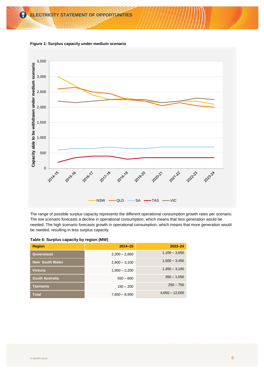<span id="page-9-1"></span>



The range of possible surplus capacity represents the different operational consumption growth rates per scenario. The low scenario forecasts a decline in operational consumption, which means that less generation would be needed. The high scenario forecasts growth in operational consumption, which means that more generation would be needed, resulting in less surplus capacity.

| <b>Region</b>          | $2014 - 15$     | $2023 - 24$      |  |  |  |  |
|------------------------|-----------------|------------------|--|--|--|--|
| Queensland             | $2,200 - 2,850$ | $1,100 - 3,650$  |  |  |  |  |
| <b>New South Wales</b> | $2,800 - 3,100$ | $1,500 - 3,450$  |  |  |  |  |
| <b>Victoria</b>        | $1,950 - 2,200$ | $1,450 - 3,100$  |  |  |  |  |
| <b>South Australia</b> | $550 - 600$     | $350 - 1,050$    |  |  |  |  |
| Tasmania               | $150 - 200$     | $250 - 750$      |  |  |  |  |
| <b>Total</b>           | $7,650 - 8,950$ | $4,650 - 12,000$ |  |  |  |  |

<span id="page-9-0"></span>

|  |  | Table 6: Surplus capacity by region (MW) |  |  |
|--|--|------------------------------------------|--|--|
|--|--|------------------------------------------|--|--|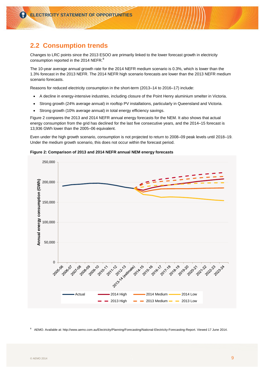### <span id="page-10-0"></span>**2.2 Consumption trends**

Changes to LRC points since the 2013 ESOO are primarily linked to the lower forecast growth in electricity consumption reported in the 2014 NEFR.<sup>8</sup>

The 10-year average annual growth rate for the 2014 NEFR medium scenario is 0.3%, which is lower than the 1.3% forecast in the 2013 NEFR. The 2014 NEFR high scenario forecasts are lower than the 2013 NEFR medium scenario forecasts.

Reasons for reduced electricity consumption in the short-term (2013–14 to 2016–17) include:

- A decline in energy-intensive industries, including closure of the Point Henry aluminium smelter in Victoria.
- Strong growth (24% average annual) in rooftop PV installations, particularly in Queensland and Victoria.
- Strong growth (10% average annual) in total energy efficiency savings.

[Figure 2](#page-10-1) compares the 2013 and 2014 NEFR annual energy forecasts for the NEM. It also shows that actual energy consumption from the grid has declined for the last five consecutive years, and the 2014–15 forecast is 13,936 GWh lower than the 2005–06 equivalent.

Even under the high growth scenario, consumption is not projected to return to 2008–09 peak levels until 2018–19. Under the medium growth scenario, this does not occur within the forecast period.

#### <span id="page-10-1"></span>**Figure 2: Comparison of 2013 and 2014 NEFR annual NEM energy forecasts**



8 AEMO. Available at: http://www.aemo.com.au/Electricity/Planning/Forecasting/National-Electricity-Forecasting-Report. Viewed 17 June 2014.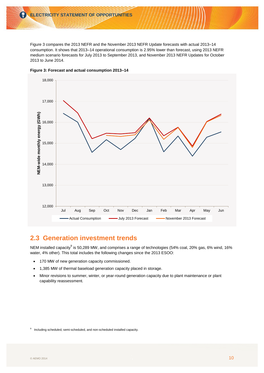[Figure 3](#page-11-1) compares the 2013 NEFR and the November 2013 NEFR Update forecasts with actual 2013–14 consumption. It shows that 2013–14 operational consumption is 2.95% lower than forecast, using 2013 NEFR medium scenario forecasts for July 2013 to September 2013, and November 2013 NEFR Updates for October 2013 to June 2014.



<span id="page-11-1"></span>**Figure 3: Forecast and actual consumption 2013–14**

### <span id="page-11-0"></span>**2.3 Generation investment trends**

NEM installed capacity<sup>9</sup> is 50,289 MW, and comprises a range of technologies (54% coal, 20% gas, 6% wind, 16% water, 4% other). This total includes the following changes since the 2013 ESOO:

- 170 MW of new generation capacity commissioned.
- 1,385 MW of thermal baseload generation capacity placed in storage.
- Minor revisions to summer, winter, or year-round generation capacity due to plant maintenance or plant capability reassessment.

 9 Including scheduled, semi-scheduled, and non-scheduled installed capacity.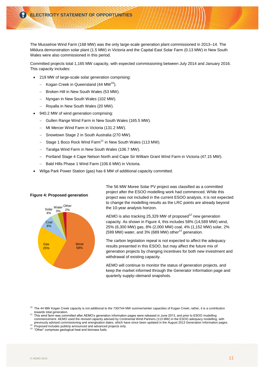The Musselroe Wind Farm (168 MW) was the only large-scale generation plant commissioned in 2013–14. The Mildura demonstration solar plant (1.5 MW) in Victoria and the Capital East Solar Farm (0.13 MW) in New South Wales were also commissioned in this period.

Committed projects total 1,165 MW capacity, with expected commissioning between July 2014 and January 2016. This capacity includes:

- 219 MW of large-scale solar generation comprising:
	- Kogan Creek in Queensland  $(44 \text{ MW}^{10})$ .
	- Broken Hill in New South Wales (53 MW).
	- Nyngan in New South Wales (102 MW).
	- Royalla in New South Wales (20 MW).
- 940.2 MW of wind generation comprising:
	- Gullen Range Wind Farm in New South Wales (165.5 MW).
	- Mt Mercer Wind Farm in Victoria (131.2 MW).
	- Snowtown Stage 2 in South Australia (270 MW).
	- Stage 1 Boco Rock Wind Farm<sup>11</sup> in New South Wales (113 MW).
	- Taralga Wind Farm in New South Wales (106.7 MW).
	- Portland Stage 4 Cape Nelson North and Cape Sir William Grant Wind Farm in Victoria (47.15 MW).
	- Bald Hills Phase 1 Wind Farm (106.6 MW) in Victoria.
- Wilga Park Power Station (gas) has 6 MW of additional capacity committed.

### **Wind** 58% Gas 25% Coal 8% Solar 4% Water Other 3% 2%

**Figure 4: Proposed generation**

The 56 MW Moree Solar PV project was classified as a committed project after the ESOO modelling work had commenced. While this project was not included in the current ESOO analysis, it is not expected to change the modelling results as the LRC points are already beyond the 10-year analysis horizon.

AEMO is also tracking 25,329 MW of proposed $12$  new generation capacity. As shown in Figure 4, this includes 58% (14,589 MW) wind, 25% (6,300 MW) gas, 8% (2,000 MW) coal, 4% (1,152 MW) solar, 2% (599 MW) water, and 3% (689 MW) other $^{13}$  generation.

The carbon legislation repeal is not expected to affect the adequacy results presented in this ESOO, but may affect the future mix of generation projects by changing incentives for both new investment and withdrawal of existing capacity.

AEMO will continue to monitor the status of generation projects, and keep the market informed through the Generator Information page and quarterly supply–demand snapshots.

 $10$  The 44 MW Kogan Creek capacity is not additional to the 730/744 MW summer/winter capacities of Kogan Creek; rather, it is a contribution towards total generation.

<sup>11</sup> This wind farm was committed after AEMO's generation information pages were released in June 2013, and prior to ESOO modelling commencement. AEMO used the revised capacity advised by Continental Wind Partners (113 MW) in the ESOO adequacy modelling, with previously advised commissioning and energisation dates, which have since been updated in the August 2013 Generation Information pages.<br><sup>12</sup> Proposed includes publicly announced and advanced projects only.

<sup>13</sup> "Other" comprises geological heat and biomass fuels.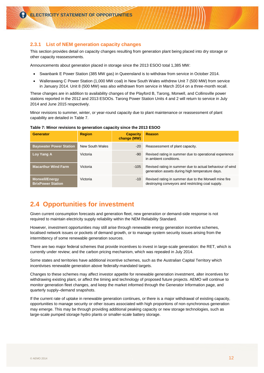#### **2.3.1 List of NEM generation capacity changes**

This section provides detail on capacity changes resulting from generation plant being placed into dry storage or other capacity reassessments.

Announcements about generation placed in storage since the 2013 ESOO total 1,385 MW:

- Swanbank E Power Station (385 MW gas) in Queensland is to withdraw from service in October 2014.
- Wallerawang C Power Station (1,000 MW coal) in New South Wales withdrew Unit 7 (500 MW) from service in January 2014. Unit 8 (500 MW) was also withdrawn from service in March 2014 on a three-month recall.

These changes are in addition to availability changes of the Playford B, Tarong, Morwell, and Collinsville power stations reported in the 2012 and 2013 ESOOs. Tarong Power Station Units 4 and 2 will return to service in July 2014 and June 2015 respectively.

Minor revisions to summer, winter, or year-round capacity due to plant maintenance or reassessment of plant capability are detailed in [Table 7.](#page-13-1)

| <b>Generator</b>                                  | <b>Region</b>   | <b>Capacity</b><br>change (MW) | <b>Reason</b>                                                                                               |
|---------------------------------------------------|-----------------|--------------------------------|-------------------------------------------------------------------------------------------------------------|
| <b>Bayswater Power Station</b>                    | New South Wales | $-20$                          | Reassessment of plant capacity.                                                                             |
| Loy Yang A                                        | Victoria        | -90                            | Revised rating in summer due to operational experience<br>in ambient conditions.                            |
| <b>Macarthur Wind Farm</b>                        | Victoria        | $-105$                         | Revised rating in summer due to actual behaviour of wind<br>generation assets during high temperature days. |
| <b>Morwell/Energy</b><br><b>BrixPower Station</b> | Victoria        | $-10$                          | Revised rating in summer due to the Morwell mine fire<br>destroying conveyors and restricting coal supply.  |

#### <span id="page-13-1"></span>**Table 7: Minor revisions to generation capacity since the 2013 ESOO**

### <span id="page-13-0"></span>**2.4 Opportunities for investment**

Given current consumption forecasts and generation fleet, new generation or demand-side response is not required to maintain electricity supply reliability within the NEM Reliability Standard.

However, investment opportunities may still arise through renewable energy generation incentive schemes, localised network issues or pockets of demand growth, or to manage system security issues arising from the intermittency of some renewable generation sources.

There are two major federal schemes that provide incentives to invest in large-scale generation: the RET, which is currently under review; and the carbon pricing mechanism, which was repealed in July 2014.

Some states and territories have additional incentive schemes, such as the Australian Capital Territory which incentivises renewable generation above federally-mandated targets.

Changes to these schemes may affect investor appetite for renewable generation investment, alter incentives for withdrawing existing plant, or affect the timing and technology of proposed future projects. AEMO will continue to monitor generation fleet changes, and keep the market informed through the Generator Information page, and quarterly supply–demand snapshots.

If the current rate of uptake in renewable generation continues, or there is a major withdrawal of existing capacity, opportunities to manage security or other issues associated with high proportions of non-synchronous generation may emerge. This may be through providing additional peaking capacity or new storage technologies, such as large-scale pumped storage hydro plants or smaller-scale battery storage.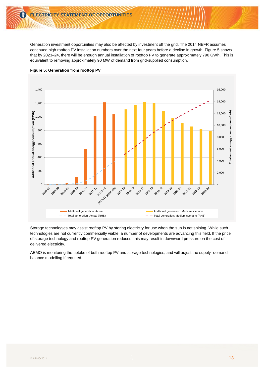Generation investment opportunities may also be affected by investment off the grid. The 2014 NEFR assumes continued high rooftop PV installation numbers over the next four years before a decline in growth. [Figure 5](#page-14-0) shows that by 2023–24, there will be enough annual installation of rooftop PV to generate approximately 790 GWh. This is equivalent to removing approximately 90 MW of demand from grid-supplied consumption.



<span id="page-14-0"></span>

Storage technologies may assist rooftop PV by storing electricity for use when the sun is not shining. While such technologies are not currently commercially viable, a number of developments are advancing this field. If the price of storage technology and rooftop PV generation reduces, this may result in downward pressure on the cost of delivered electricity.

AEMO is monitoring the uptake of both rooftop PV and storage technologies, and will adjust the supply–demand balance modelling if required.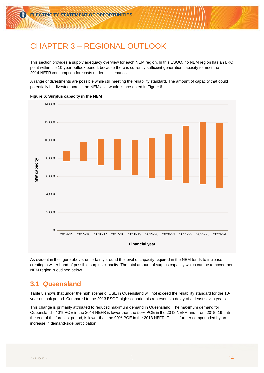## <span id="page-15-0"></span>CHAPTER 3 – REGIONAL OUTLOOK

This section provides a supply adequacy overview for each NEM region. In this ESOO, no NEM region has an LRC point within the 10-year outlook period, because there is currently sufficient generation capacity to meet the 2014 NEFR consumption forecasts under all scenarios.

A range of divestments are possible while still meeting the reliability standard. The amount of capacity that could potentially be divested across the NEM as a whole is presented in [Figure 6.](#page-15-2)



<span id="page-15-2"></span>**Figure 6: Surplus capacity in the NEM**

As evident in the figure above, uncertainty around the level of capacity required in the NEM tends to increase, creating a wider band of possible surplus capacity. The total amount of surplus capacity which can be removed per NEM region is outlined below.

### <span id="page-15-1"></span>**3.1 Queensland**

[Table 8](#page-16-0) shows that under the high scenario, USE in Queensland will not exceed the reliability standard for the 10 year outlook period. Compared to the 2013 ESOO high scenario this represents a delay of at least seven years.

This change is primarily attributed to reduced maximum demand in Queensland. The maximum demand for Queensland's 10% POE in the 2014 NEFR is lower than the 50% POE in the 2013 NEFR and, from 2018–19 until the end of the forecast period, is lower than the 90% POE in the 2013 NEFR. This is further compounded by an increase in demand-side participation.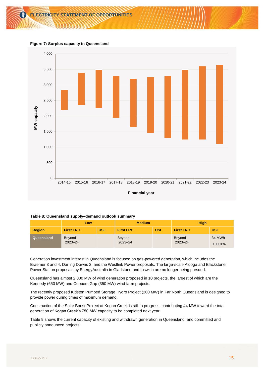<span id="page-16-1"></span>



<span id="page-16-0"></span>

| Table 8: Queensland supply-demand outlook summary |  |  |
|---------------------------------------------------|--|--|
|---------------------------------------------------|--|--|

|               | Low                   |                | <b>Medium</b>         |                | <b>High</b>           |                   |  |
|---------------|-----------------------|----------------|-----------------------|----------------|-----------------------|-------------------|--|
| <b>Region</b> | <b>First LRC</b>      | <b>USE</b>     | <b>First LRC</b>      | <b>USE</b>     | <b>First LRC</b>      | <b>USE</b>        |  |
| Queensland    | Beyond<br>$2023 - 24$ | $\blacksquare$ | Beyond<br>$2023 - 24$ | $\blacksquare$ | Beyond<br>$2023 - 24$ | 34 MWh<br>0.0001% |  |

Generation investment interest in Queensland is focused on gas-powered generation, which includes the Braemer 3 and 4, Darling Downs 2, and the Westlink Power proposals. The large-scale Aldoga and Blackstone Power Station proposals by EnergyAustralia in Gladstone and Ipswich are no longer being pursued.

Queensland has almost 2,000 MW of wind generation proposed in 10 projects, the largest of which are the Kennedy (650 MW) and Coopers Gap (350 MW) wind farm projects.

The recently proposed Kidston Pumped Storage Hydro Project (200 MW) in Far North Queensland is designed to provide power during times of maximum demand.

Construction of the Solar Boost Project at Kogan Creek is still in progress, contributing 44 MW toward the total generation of Kogan Creek's 750 MW capacity to be completed next year.

[Table 9](#page-17-1) shows the current capacity of existing and withdrawn generation in Queensland, and committed and publicly announced projects.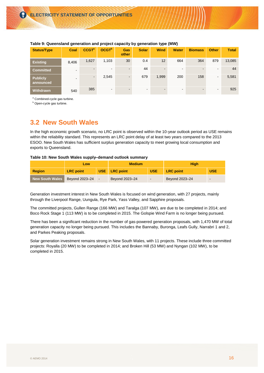| <b>Status/Type</b>           | Coal           | CCGT <sup>a</sup>        | OCGT <sup>b</sup> | Gas<br>other             | <b>Solar</b> | <b>Wind</b>              | <b>Water</b> | <b>Biomass</b> | <b>Other</b> | <b>Total</b> |
|------------------------------|----------------|--------------------------|-------------------|--------------------------|--------------|--------------------------|--------------|----------------|--------------|--------------|
| <b>Existing</b>              | 8,406          | 1,627                    | 1,103             | 30                       | 0.4          | 12                       | 664          | 364            | 879          | 13,085       |
| <b>Committed</b>             | $\blacksquare$ | $\blacksquare$           | $\blacksquare$    | -                        | 44           | $\overline{\phantom{0}}$ | ۰            | $\blacksquare$ | ۰            | 44           |
| <b>Publicly</b><br>announced | $\sim$         | $\overline{\phantom{0}}$ | 2,545             | $\overline{\phantom{0}}$ | 679          | 1,999                    | 200          | 158            | ۰            | 5,581        |
| Withdrawn                    | 540            | 385                      | $\blacksquare$    |                          | ۰.           | $\blacksquare$           |              |                | ۰.           | 925          |

#### <span id="page-17-1"></span>**Table 9: Queensland generation and project capacity by generation type (MW)**

a Combined-cycle gas turbine.

**b** Open-cycle gas turbine.

## <span id="page-17-0"></span>**3.2 New South Wales**

In the high economic growth scenario, no LRC point is observed within the 10-year outlook period as USE remains within the reliability standard. This represents an LRC point delay of at least two years compared to the 2013 ESOO. New South Wales has sufficient surplus generation capacity to meet growing local consumption and exports to Queensland.

#### <span id="page-17-2"></span>**Table 10: New South Wales supply–demand outlook summary**

|                 | Low              |  | <b>Medium</b>        |                 | <b>High</b>      |                          |  |
|-----------------|------------------|--|----------------------|-----------------|------------------|--------------------------|--|
| <b>Region</b>   | <b>LRC</b> point |  | <b>USE</b> LRC point | <b>USE</b>      | <b>LRC</b> point | <b>USE</b>               |  |
| New South Wales | Beyond 2023-24 - |  | Beyond 2023-24       | $\qquad \qquad$ | Beyond 2023-24   | $\overline{\phantom{a}}$ |  |

Generation investment interest in New South Wales is focused on wind generation, with 27 projects, mainly through the Liverpool Range, Uungula, Rye Park, Yass Valley, and Sapphire proposals.

The committed projects, Gullen Range (166 MW) and Taralga (107 MW), are due to be completed in 2014; and Boco Rock Stage 1 (113 MW) is to be completed in 2015. The Golspie Wind Farm is no longer being pursued.

There has been a significant reduction in the number of gas-powered generation proposals, with 1,470 MW of total generation capacity no longer being pursued. This includes the Bannaby, Buronga, Leafs Gully, Narrabri 1 and 2, and Parkes Peaking proposals.

Solar generation investment remains strong in New South Wales, with 11 projects. These include three committed projects: Royalla (20 MW) to be completed in 2014; and Broken Hill (53 MW) and Nyngan (102 MW), to be completed in 2015.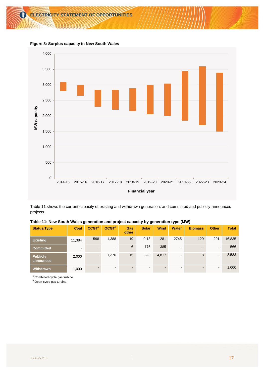

<span id="page-18-1"></span>**Figure 8: Surplus capacity in New South Wales**

[Table 11](#page-18-0) shows the current capacity of existing and withdrawn generation, and committed and publicly announced projects.

| <b>Status/Type</b>           | Coal           | <b>CCGT<sup>a</sup></b>  | OCGT <sup>b</sup>        | Gas<br>other | <b>Solar</b> | <b>Wind</b>    | <b>Water</b>   | <b>Biomass</b>           | <b>Other</b>             | <b>Total</b> |
|------------------------------|----------------|--------------------------|--------------------------|--------------|--------------|----------------|----------------|--------------------------|--------------------------|--------------|
| <b>Existing</b>              | 11,384         | 598                      | 1,388                    | 19           | 0.13         | 281            | 2745           | 129                      | 291                      | 16,835       |
| <b>Committed</b>             | $\blacksquare$ | $\overline{\phantom{a}}$ | $\blacksquare$           | 6            | 175          | 385            | $\blacksquare$ | ۰.                       | $\overline{\phantom{a}}$ | 566          |
| <b>Publicly</b><br>announced | 2,000          | $\overline{\phantom{a}}$ | 1,370                    | 15           | 323          | 4,817          | $\blacksquare$ | 8                        | $\blacksquare$           | 8,533        |
| Withdrawn                    | 1,000          | $\blacksquare$           | $\overline{\phantom{a}}$ | $\sim$       |              | $\blacksquare$ | $\blacksquare$ | $\overline{\phantom{0}}$ | $\sim$                   | 1,000        |

#### <span id="page-18-0"></span>**Table 11: New South Wales generation and project capacity by generation type (MW)**

a Combined-cycle gas turbine.

**b** Open-cycle gas turbine.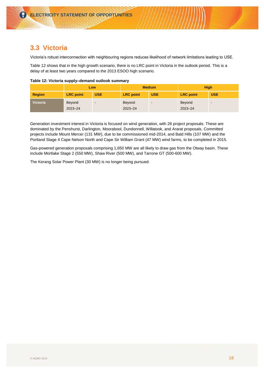### <span id="page-19-0"></span>**3.3 Victoria**

Victoria's robust interconnection with neighbouring regions reduces likelihood of network limitations leading to USE.

[Table 12](#page-19-1) shows that in the high growth scenario, there is no LRC point in Victoria in the outlook period. This is a delay of at least two years compared to the 2013 ESOO high scenario.

|                 | Low               |            |                       | <b>Medium</b> | <b>High</b>                  |            |  |
|-----------------|-------------------|------------|-----------------------|---------------|------------------------------|------------|--|
| <b>Region</b>   | <b>LRC</b> point  | <b>USE</b> | <b>LRC</b> point      | <b>USE</b>    | <b>LRC</b> point             | <b>USE</b> |  |
| <b>Victoria</b> | Beyond<br>2023-24 | $\sim$     | Beyond<br>$2023 - 24$ | $\,$          | <b>Beyond</b><br>$2023 - 24$ |            |  |

<span id="page-19-1"></span>**Table 12: Victoria supply–demand outlook summary**

Generation investment interest in Victoria is focused on wind generation, with 28 project proposals. These are dominated by the Penshurst, Darlington, Moorabool, Dundonnell, Willatook, and Ararat proposals. Committed projects include Mount Mercer (131 MW), due to be commissioned mid-2014, and Bald Hills (107 MW) and the Portland Stage 4 Cape Nelson North and Cape Sir William Grant (47 MW) wind farms, to be completed in 2015.

Gas-powered generation proposals comprising 1,650 MW are all likely to draw gas from the Otway basin. These include Mortlake Stage 2 (550 MW), Shaw River (500 MW), and Tarrone GT (500-600 MW).

The Kerang Solar Power Plant (30 MW) is no longer being pursued.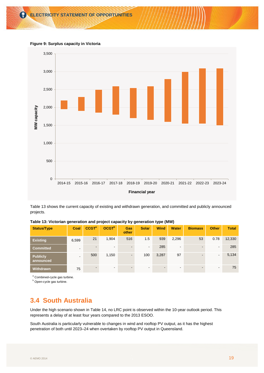<span id="page-20-2"></span>**Figure 9: Surplus capacity in Victoria**



[Table 13](#page-20-1) shows the current capacity of existing and withdrawn generation, and committed and publicly announced projects.

| <b>Status/Type</b>           | Coal   | <b>CCGT<sup>a</sup></b> | OCGT <sup>b</sup>        | <b>Gas</b><br>other      | <b>Solar</b>             | <b>Wind</b>    | <b>Water</b>             | <b>Biomass</b> | <b>Other</b> | <b>Total</b> |
|------------------------------|--------|-------------------------|--------------------------|--------------------------|--------------------------|----------------|--------------------------|----------------|--------------|--------------|
| <b>Existing</b>              | 6,599  | 21                      | 1,904                    | 516                      | 1.5                      | 939            | 2,296                    | 53             | 0.78         | 12,330       |
| <b>Committed</b>             | $\sim$ |                         | $\blacksquare$           | $\blacksquare$           | $\sim$                   | 285            | $\blacksquare$           |                |              | 285          |
| <b>Publicly</b><br>announced |        | 500                     | 1,150                    | $\overline{\phantom{a}}$ | 100                      | 3,287          | 97                       |                | $\sim$       | 5,134        |
| <b>Withdrawn</b>             | 75     | -                       | $\overline{\phantom{a}}$ | $\overline{\phantom{a}}$ | $\overline{\phantom{0}}$ | $\blacksquare$ | $\overline{\phantom{a}}$ |                | ۰            | 75           |

<span id="page-20-1"></span>**Table 13: Victorian generation and project capacity by generation type (MW)**

a Combined-cycle gas turbine.

**b** Open-cycle gas turbine.

## <span id="page-20-0"></span>**3.4 South Australia**

Under the high scenario shown in [Table 14,](#page-21-0) no LRC point is observed within the 10-year outlook period. This represents a delay of at least four years compared to the 2013 ESOO.

South Australia is particularly vulnerable to changes in wind and rooftop PV output, as it has the highest penetration of both until 2023–24 when overtaken by rooftop PV output in Queensland.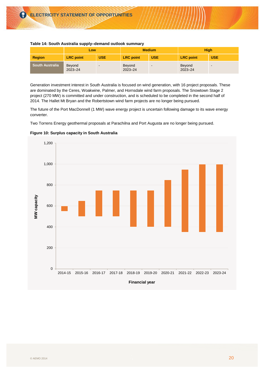| <b>Table 14: Obditi Adolfand Supply Romand Sulloon Summary</b> |                       |            |                   |               |                          |            |  |
|----------------------------------------------------------------|-----------------------|------------|-------------------|---------------|--------------------------|------------|--|
|                                                                | Low                   |            |                   | <b>Medium</b> | <b>High</b>              |            |  |
| <b>Region</b>                                                  | <b>LRC</b> point      | <b>USE</b> | <b>LRC</b> point  | <b>USE</b>    | <b>LRC</b> point         | <b>USE</b> |  |
| <b>South Australia</b>                                         | Beyond<br>$2023 - 24$ |            | Beyond<br>2023-24 | -             | <b>Beyond</b><br>2023-24 | -          |  |

#### <span id="page-21-0"></span>**Table 14: South Australia supply–demand outlook summary**

Generation investment interest in South Australia is focused on wind generation, with 16 project proposals. These are dominated by the Ceres, Woakwine, Palmer, and Hornsdale wind farm proposals. The Snowtown Stage 2 project (270 MW) is committed and under construction, and is scheduled to be completed in the second half of 2014. The Hallet Mt Bryan and the Robertstown wind farm projects are no longer being pursued.

The future of the Port MacDonnell (1 MW) wave energy project is uncertain following damage to its wave energy converter.

Two Torrens Energy geothermal proposals at Parachilna and Port Augusta are no longer being pursued.



#### <span id="page-21-1"></span>**Figure 10: Surplus capacity in South Australia**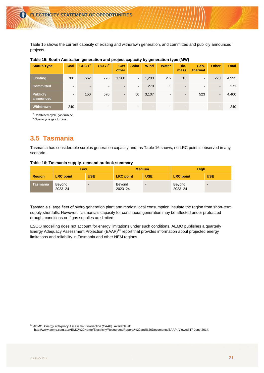[Table 15](#page-22-1) shows the current capacity of existing and withdrawn generation, and committed and publicly announced projects.

| <b>Status/Type</b>           | Coal                     | <b>CCGT<sup>a</sup></b> | OCGT <sup>b</sup>        | Gas<br>other             | <b>Solar</b>   | <b>Wind</b>    | <b>Water</b>   | Bio-<br>mass | Geo-<br>thermal | <b>Other</b>   | <b>Total</b> |
|------------------------------|--------------------------|-------------------------|--------------------------|--------------------------|----------------|----------------|----------------|--------------|-----------------|----------------|--------------|
| <b>Existing</b>              | 786                      | 662                     | 778                      | 1,280                    | ۰.             | 1,203          | 2.5            | 13           | $\sim$          | 270            | 4,995        |
| <b>Committed</b>             | $\blacksquare$           | $\blacksquare$          | $\sim$                   | $\overline{\phantom{0}}$ | $\blacksquare$ | 270            | 1              | $\sim$       | $\sim$          | $\blacksquare$ | 271          |
| <b>Publicly</b><br>announced | $\overline{\phantom{a}}$ | 150                     | 570                      | $\overline{\phantom{0}}$ | 50             | 3,107          | $\blacksquare$ | -            | 523             | $\sim$         | 4,400        |
| <b>Withdrawn</b>             | 240                      | $\sim$                  | $\overline{\phantom{a}}$ |                          | $\blacksquare$ | $\blacksquare$ | $\blacksquare$ | ۰.           | $\blacksquare$  | $\blacksquare$ | 240          |

#### <span id="page-22-1"></span>**Table 15: South Australian generation and project capacity by generation type (MW)**

a Combined-cycle gas turbine.

**b** Open-cycle gas turbine.

## <span id="page-22-0"></span>**3.5 Tasmania**

Tasmania has considerable surplus generation capacity and, a[s Table 16](#page-22-2) shows, no LRC point is observed in any scenario.

#### <span id="page-22-2"></span>**Table 16: Tasmania supply–demand outlook summary**

|               | Low               |            | <b>Medium</b>     |                          | <b>High</b>           |                          |
|---------------|-------------------|------------|-------------------|--------------------------|-----------------------|--------------------------|
| <b>Region</b> | <b>LRC</b> point  | <b>USE</b> | <b>LRC</b> point  | <b>USE</b>               | <b>LRC</b> point      | <b>USE</b>               |
| Tasmania      | Beyond<br>2023-24 | ٠          | Beyond<br>2023-24 | $\overline{\phantom{0}}$ | Beyond<br>$2023 - 24$ | $\overline{\phantom{a}}$ |

Tasmania's large fleet of hydro generation plant and modest local consumption insulate the region from short-term supply shortfalls. However, Tasmania's capacity for continuous generation may be affected under protracted drought conditions or if gas supplies are limited.

ESOO modelling does not account for energy limitations under such conditions. AEMO publishes a quarterly Energy Adequacy Assessment Projection (EAAP)<sup>14</sup> report that provides information about projected energy limitations and reliability in Tasmania and other NEM regions.

<sup>14</sup> AEMO. *Energy Adequacy Assessment Projection (EAAP).* Available at:

[http://www.aemo.com.au/AEMO%20Home/Electricity/Resources/Reports%20and%20Documents/EAAP.](http://www.aemo.com.au/AEMO%20Home/Electricity/Resources/Reports%20and%20Documents/EAAP) Viewed 17 June 2014.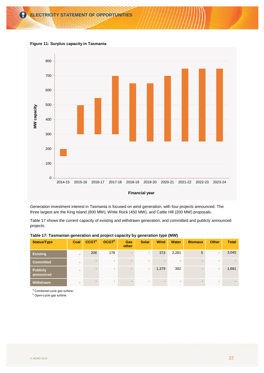

<span id="page-23-1"></span>**Figure 11: Surplus capacity in Tasmania**

Generation investment interest in Tasmania is focused on wind generation, with four projects announced. The three largest are the King Island (600 MW), White Rock (450 MW), and Cattle Hill (200 MW) proposals.

[Table 17](#page-23-0) shows the current capacity of existing and withdrawn generation, and committed and publicly announced projects.

| <b>Status/Type</b>           | Coal                     | <b>CCGT<sup>a</sup></b> | OCGT <sup>b</sup> | Gas<br>other             | <b>Solar</b>             | <b>Wind</b> | <b>Water</b>   | <b>Biomass</b> | <b>Other</b>             | <b>Total</b> |
|------------------------------|--------------------------|-------------------------|-------------------|--------------------------|--------------------------|-------------|----------------|----------------|--------------------------|--------------|
| <b>Existing</b>              |                          | 208                     | 178               | $\blacksquare$           | $\blacksquare$           | 373         | 2,281          | 5              | $\sim$                   | 3,045        |
| <b>Committed</b>             |                          | ۰.                      | $\blacksquare$    | $\overline{\phantom{a}}$ | $\blacksquare$           | $\sim$      | $\blacksquare$ | ۰.             | ۰.                       |              |
| <b>Publicly</b><br>announced |                          | $\sim$                  | $\blacksquare$    | $\overline{\phantom{a}}$ | $\blacksquare$           | 1,379       | 302            | . .            | $\overline{\phantom{a}}$ | 1,681        |
| <b>Withdrawn</b>             | $\overline{\phantom{a}}$ | -                       | $\blacksquare$    | $\overline{\phantom{a}}$ | $\overline{\phantom{a}}$ | ۰.          | $\blacksquare$ |                |                          |              |

#### <span id="page-23-0"></span>**Table 17: Tasmanian generation and project capacity by generation type (MW)**

a Combined-cycle gas turbine.

 $<sup>b</sup>$  Open-cycle gas turbine.</sup>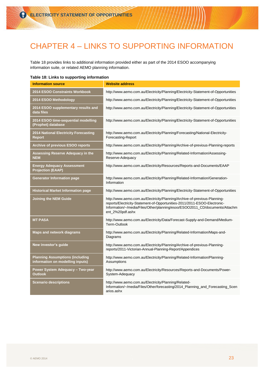## <span id="page-24-0"></span>CHAPTER 4 – LINKS TO SUPPORTING INFORMATION

[Table 18](#page-24-1) provides links to additional information provided either as part of the 2014 ESOO accompanying information suite, or related AEMO planning information.

#### <span id="page-24-1"></span>**Table 18: Links to supporting information**

| <b>Information source</b>                                                  | <b>Website address</b>                                                                                                                                                                                                                                    |
|----------------------------------------------------------------------------|-----------------------------------------------------------------------------------------------------------------------------------------------------------------------------------------------------------------------------------------------------------|
| <b>2014 ESOO Constraints Workbook</b>                                      | http://www.aemo.com.au/Electricity/Planning/Electricity-Statement-of-Opportunities                                                                                                                                                                        |
| 2014 ESOO Methodology                                                      | http://www.aemo.com.au/Electricity/Planning/Electricity-Statement-of-Opportunities                                                                                                                                                                        |
| 2014 ESOO supplementary results and<br>data files                          | http://www.aemo.com.au/Electricity/Planning/Electricity-Statement-of-Opportunities                                                                                                                                                                        |
| 2014 ESOO time-sequential modelling<br>(Prophet) database                  | http://www.aemo.com.au/Electricity/Planning/Electricity-Statement-of-Opportunities                                                                                                                                                                        |
| <b>2014 National Electricity Forecasting</b><br><b>Report</b>              | http://www.aemo.com.au/Electricity/Planning/Forecasting/National-Electricity-<br>Forecasting-Report                                                                                                                                                       |
| <b>Archive of previous ESOO reports</b>                                    | http://www.aemo.com.au/Electricity/Planning/Archive-of-previous-Planning-reports                                                                                                                                                                          |
| Assessing Reserve Adequacy in the<br><b>NEM</b>                            | http://www.aemo.com.au/Electricity/Planning/Related-Information/Assessing-<br>Reserve-Adequacy                                                                                                                                                            |
| <b>Energy Adequacy Assessment</b><br><b>Projection (EAAP)</b>              | http://www.aemo.com.au/Electricity/Resources/Reports-and-Documents/EAAP                                                                                                                                                                                   |
| Generator Information page                                                 | http://www.aemo.com.au/Electricity/Planning/Related-Information/Generation-<br>Information                                                                                                                                                                |
| <b>Historical Market Information page</b>                                  | http://www.aemo.com.au/Electricity/Planning/Electricity-Statement-of-Opportunities                                                                                                                                                                        |
| <b>Joining the NEM Guide</b>                                               | http://www.aemo.com.au/Electricity/Planning/Archive-of-previous-Planning-<br>reports/Electricity-Statement-of-Opportunities-2011/2011-ESOO-Electronic-<br>Information/~/media/Files/Other/planning/esoo/ESOO2011_CD/documents/Attachm<br>ent_2%20pdf.ashx |
| <b>MT PASA</b>                                                             | http://www.aemo.com.au/Electricity/Data/Forecast-Supply-and-Demand/Medium-<br>Term-Outlook                                                                                                                                                                |
| <b>Maps and network diagrams</b>                                           | http://www.aemo.com.au/Electricity/Planning/Related-Information/Maps-and-<br>Diagrams                                                                                                                                                                     |
| New investor's guide                                                       | http://www.aemo.com.au/Electricity/Planning/Archive-of-previous-Planning-<br>reports/2011-Victorian-Annual-Planning-Report/Appendices                                                                                                                     |
| <b>Planning Assumptions (including</b><br>information on modelling inputs) | http://www.aemo.com.au/Electricity/Planning/Related-Information/Planning-<br>Assumptions                                                                                                                                                                  |
| <b>Power System Adequacy - Two-year</b><br><b>Outlook</b>                  | http://www.aemo.com.au/Electricity/Resources/Reports-and-Documents/Power-<br>System-Adequacy                                                                                                                                                              |
| <b>Scenario descriptions</b>                                               | http://www.aemo.com.au/Electricity/Planning/Related-<br>Information/~/media/Files/Other/forecasting/2014_Planning_and_Forecasting_Scen<br>arios.ashx                                                                                                      |